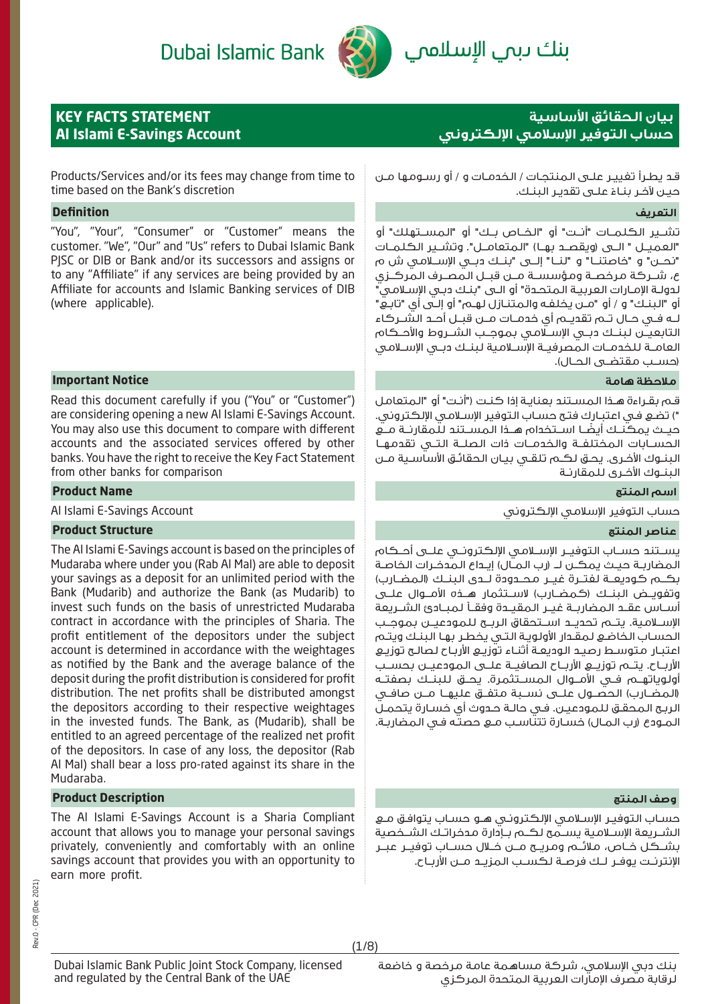Dubai Islamic Bank

بنك ىبمي الإسلاممي



# **KEY FACTS STATEMENT Al Islami E-Savings Account**

# **بيان الحقائق اساسية حساب التوفير اسلامي الكتروني**

Products/Services and/or its fees may change from time to time based on the Bank's discretion

### **التعريف Definition**

"You", "Your", "Consumer" or "Customer" means the customer. "We", "Our" and "Us" refers to Dubai Islamic Bank PJSC or DIB or Bank and/or its successors and assigns or to any "Affiliate" if any services are being provided by an Affiliate for accounts and Islamic Banking services of DIB (where applicable).

### **ملاحظة هامة Notice Important**

Read this document carefully if you ("You" or "Customer") are considering opening a new Al Islami E-Savings Account. You may also use this document to compare with different accounts and the associated services offered by other banks. You have the right to receive the Key Fact Statement from other banks for comparison

### **اسم المنتج Name Product**

### **عناصر المنتج Structure Product**

The Al Islami E-Savings account is based on the principles of Mudaraba where under you (Rab Al Mal) are able to deposit your savings as a deposit for an unlimited period with the Bank (Mudarib) and authorize the Bank (as Mudarib) to invest such funds on the basis of unrestricted Mudaraba contract in accordance with the principles of Sharia. The profit entitlement of the depositors under the subject account is determined in accordance with the weightages as notified by the Bank and the average balance of the deposit during the profit distribution is considered for profit distribution. The net profits shall be distributed amongst the depositors according to their respective weightages in the invested funds. The Bank, as (Mudarib), shall be entitled to an agreed percentage of the realized net profit of the depositors. In case of any loss, the depositor (Rab Al Mal) shall bear a loss pro-rated against its share in the Mudaraba.

# **وصف المنتج Description Product**

The Al Islami E-Savings Account is a Sharia Compliant account that allows you to manage your personal savings privately, conveniently and comfortably with an online savings account that provides you with an opportunity to earn more profit.

قـد يطـرأ تغييـر علـى المنتجـات / الخدمـات و / أو رسـومها مـن حيـن لآخـر بنــاءْ علــى تقديـر الـبنـك.

تشــير الكلمــات "أنــت" أو "الخــاص بــك" أو "المســتهلك" أو "العميــل " الــى (ويقصــد بهــا) "المتعامــل". وتشــير الكلمــات "نحــن" و "خاصتنــا" و "لنــا" إلــى "بنــك دبــي الإســلامي ش م ع، شــركة مرخصــة ومؤسســة مــن قبــل المصــرف المركــزي لدولـة الإمـارات العربيـة المتحـدة" أو الـى "بنـك دبـي الإسـلامي" أو "البنـك" و / أو "مـن يخلفـه والمتنـازل لهـم" أو إلـى أي "تابـع" لــه فــي حــال تــم تقديــم أي خدمــات مــن قبــل أحــد الشــركاء التابعيــن لبنــك دبــي الإســلامي بموجــب الشــروط والأحــكام العامــة للخدمــات المصرفيــة الإســلامية لبنــك دبــي الإســلامي (حســب مقتضــى الحــال).

قـم بقـراءة هـذا المسـتند بعنايـة إذا كنـت ("أنـت" أو "المتعامل ") تضـع فـي اعتبـارك فتـح حسـاب التوفير الإسـلامي الإلكتروني. ً حيــث يمكنــك أيضــا اســتخدام هــذا المســتند للمقارنــة مــع الحســابات المختلفــة والخدمــات ذات الصلــة التــي تقدمهــا البنـوك الأخـرى. يحـق لكـم تلقـي بيـان الحقائـق الأساسـية مـن البنـوك الأخـرى للمقارنـة

Al Islami E-Savings Account الإلكتروني الإسلامي التوفير حساب

يســتند حســاب التوفيــر الإســلامي الإلكترونــي علــى أحــكام المضاربــة حيــث يمكــن لــ (رب المــال) إيــداع المدخــرات الخاصــة بكــم كوديعــة لفتــرة غيــر محــدودة لــدى البنــك (المضــارب) وتفويــض البنــك (كمضــارب) لاســتثمار هــذه الأمــوال علــى أســاس عقــد المضاربــة غيــر المقيــدة وفقــاً لمبــادئ الشــريعة الإســلامية. يتــم تحديــد اســتحقاق الربــح للمودعيــن بموجــب الحسـاب الخاضـع لمقـدار الأولويـة التـي يخطـر بهـا البنـك ويتـم اعتبـار متوسـط رصيـد الوديعـة أثنـاء توزيـع الأربـاح لصالـح توزيـع الأربــاح. يتــم توزيــع الأربــاح الصافيــة علــى المودعيــن بحســب أولوياتهــم فــي الأمــوال المســتثمرة. يحــق للبنــك بصفتــه (المضــارب) الحصــول علــى نســبة متفــق عليهــا مــن صافــي الربـح المحقـق للمودعيـن. فـي حالـة حـدوث أي خسـارة يتحمـل المـودع (رب المـال) خسـارة تتناسـب مـع حصتـه فـي المضاربـة.

حسـاب التوفيـر الإسـلامي الإلكترونـي هـو حسـاب يتوافـق مـع الشــريعة الإســلامية يســمح لكــم بــإدارة مدخراتــك الشــخصية بشــكل خــاص، ملائــم ومريــح مــن خــلال حســاب توفيــر عبــر الإنترنــت يوفــر لــك فرصــة لكســب المزيــد مــن الأربــاح.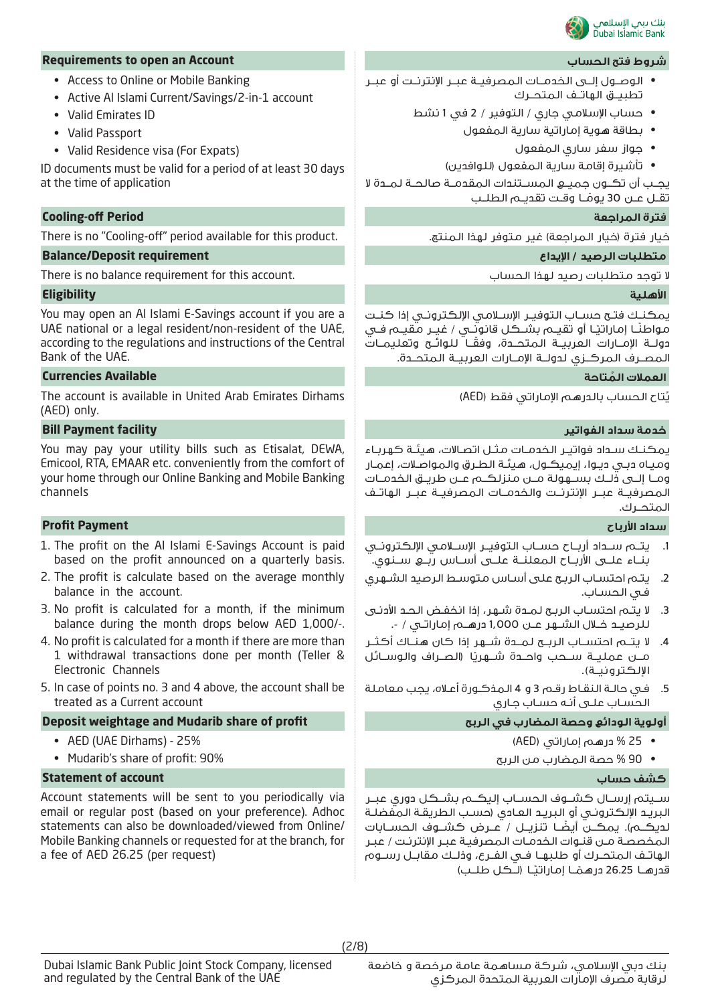

### **Requirements to open an Account الحساب فتح شروط**

- Access to Online or Mobile Banking
- Active Al Islami Current/Savings/2-in-1 account
- Valid Emirates ID
- Valid Passport
- Valid Residence visa (For Expats)

ID documents must be valid for a period of at least 30 days at the time of application

# **Cooling-off Period المراجعة فترة**

There is no "Cooling-off" period available for this product. .المنتج لهذا متوفر غير) المراجعة خيار (فترة خيار

# **متطلبات الرصيد / ايداع requirement Deposit/Balance**

There is no balance requirement for this account. الحساب لهذا رصيد متطلبات توجد لا

# **اهلية Eligibility**

You may open an Al Islami E-Savings account if you are a UAE national or a legal resident/non-resident of the UAE, according to the regulations and instructions of the Central Bank of the UAE.

### **ُ العملات المتاحة Available Currencies**

The account is available in United Arab Emirates Dirhams (AED) only.

### **خدمة سداد الفواتير facility Payment Bill**

You may pay your utility bills such as Etisalat, DEWA, Emicool, RTA, EMAAR etc. conveniently from the comfort of your home through our Online Banking and Mobile Banking channels

# **سداد ارباح Payment Profit**

- 1. The profit on the Al Islami E-Savings Account is paid based on the profit announced on a quarterly basis.
- 2. The profit is calculate based on the average monthly balance in the account.
- 3. No profit is calculated for a month, if the minimum balance during the month drops below AED 1,000/-.
- 4. No profit is calculated for a month if there are more than 1 withdrawal transactions done per month (Teller & Electronic Channels
- 5. In case of points no. 3 and 4 above, the account shall be treated as a Current account

# **Deposit weightage and Mudarib share of profit الربح في المضارب وحصة الودائع أولوية**

- AED (UAE Dirhams) 25%
- Mudarib's share of profit: 90%

# **Statement of account حساب كشف**

Account statements will be sent to you periodically via email or regular post (based on your preference). Adhoc statements can also be downloaded/viewed from Online/ Mobile Banking channels or requested for at the branch, for a fee of AED 26.25 (per request)

- الوصــول إلــى الخدمــات المصرفيــة عبــر الإنترنــت أو عبــر تطبيــق الهاتــف المتحــرك
	- حساب الإسلامي جاري / التوفير / 2 في 1 نشط
		- بطاقة هوية إماراتية سارية المفعول
			- جواز سفر ساري المفعول
		- تأشيرة إقامة سارية المفعول (للوافدين)

يجــب أن تكــون جميــع المســتندات المقدمــة صالحــة لمــدة لا تقــل عــن 30 يومــا وقــت تقديــم الطلــب ً

يمكنــك فتــح حســاب التوفيــر الإســلامي الإلكترونــي إذا كنــت مواطنًــا إماراتيًـا أو تقيــم بشــكـل قانونٍــي / غيـِـر مقيــم فــي ً دولــة الإمــارات العربيــة المتحــدة، وفقــا للوائــح وتعليمــات المصــرف المركــزي لدولــة الإمــارات العربيــة المتحــدة.

ُتاح الحساب بالدرهم الإماراتي فقط (AED( ي

يمكنـك سـداد فواتيـر الخدمـات مثـل اتصـالات، هيئـة كهربـاء وميـاه دبـي ديـوا، إيميكـول، هيئـة الطـرق والمواصـلات، إعمـار ومــا إلــى ذلــك بســهولة مــن منزلكــم عــن طريــق الخدمــات المصرفيــة عبــر الإنترنــت والخدمــات المصرفيــة عبــر الهاتــف المتحــرك.

- .1 يتــم ســداد أربــاح حســاب التوفيــر الإســلامي الإلكترونــي بنــاء علــى الأربــاح المعلنــة علــى أســاس ربــع ســنوي.
- .2 يتـم احتسـاب الربـح على أسـاس متوسـط الرصيد الشـهري فـي الحسـاب.
- .3 لا يتـم احتسـاب الربـح لمـدة شـهر، إذا انخفـض الحـد الأدنـى للرصيــد خــلال الشــهر عــن 1,000 درهــم إماراتــي / .-
- .4 لا يتــم احتســاب الربــح لمــدة شــهر إذا كان هنــاك أكثــر مـــن عمليـــة ســـحب واحـــدة شـــهريًا (الـصــراف والـوســـائل الإلكترونيــة).
- .5 فـي حالـة النقـاط رقـم 3 و 4 المذكـورة أعـلاه، يجب معاملة الحسـاب علـى أنـه حسـاب جـاري

- 25 % درهم إماراتي (AED (
- 90 % حصة المضارب من الربح

ســيتم إرســال كشــوف الحســاب إليكــم بشــكل دوري عبــر البريـد الإلكترونـي أو البريـد العـادي (حسـب الطريقـة المفضلـة ً لديكــم). يمكــن أيضــا تنزيــل / عــرض كشــوف الحســابات المخصصـة مـن قنـوات الخدمـات المصرفيـة عبـر الإنترنـت / عبـر الهاتــف المتحــرك أو طلبهــا فــي الفــرع، وذلــك مقابــل رســوم قدرهــا 26.25 درهـمْــا إماراتيْــا (لــكـل طلــب) ً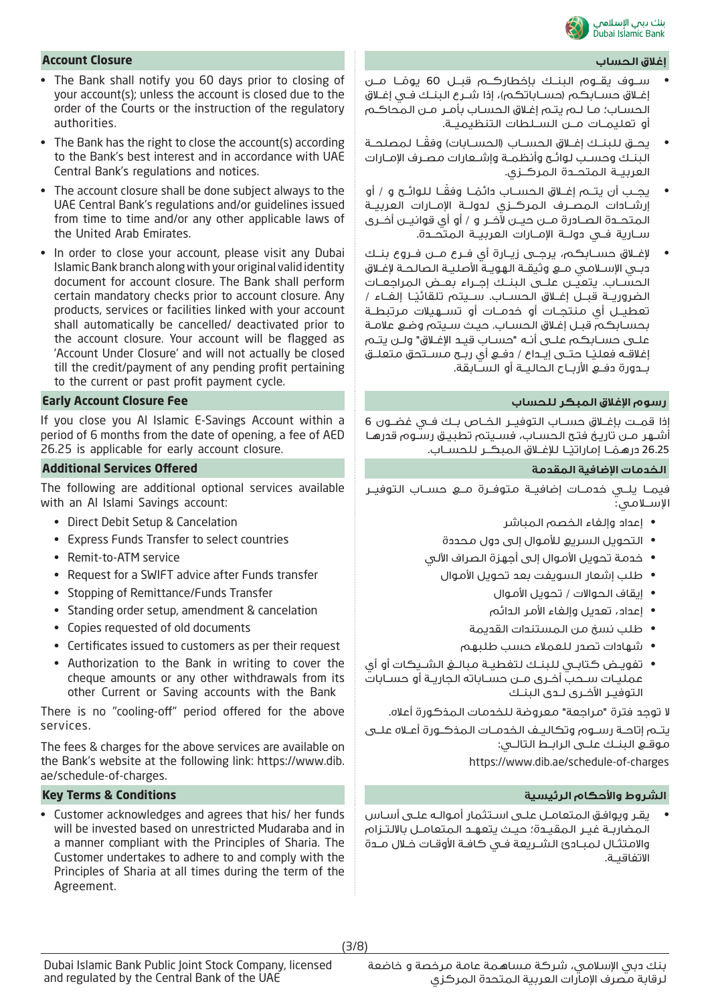

### **إغلاق الحساب Closure Account**

- The Bank shall notify you 60 days prior to closing of your account(s); unless the account is closed due to the order of the Courts or the instruction of the regulatory authorities.
- The Bank has the right to close the account(s) according to the Bank's best interest and in accordance with UAE Central Bank's regulations and notices.
- The account closure shall be done subject always to the UAE Central Bank's regulations and/or guidelines issued from time to time and/or any other applicable laws of the United Arab Emirates.
- In order to close your account, please visit any Dubai Islamic Bank branch along with your original valid identity document for account closure. The Bank shall perform certain mandatory checks prior to account closure. Any products, services or facilities linked with your account shall automatically be cancelled/ deactivated prior to the account closure. Your account will be flagged as 'Account Under Closure' and will not actually be closed till the credit/payment of any pending profit pertaining to the current or past profit payment cycle.

If you close you Al Islamic E-Savings Account within a period of 6 months from the date of opening, a fee of AED 26.25 is applicable for early account closure.

### **الخدمات اضافية المقدمة Offered Services Additional**

The following are additional optional services available with an Al Islami Savings account:

- Direct Debit Setup & Cancelation
- Express Funds Transfer to select countries
- Remit-to-ATM service
- Request for a SWIFT advice after Funds transfer
- Stopping of Remittance/Funds Transfer
- Standing order setup, amendment & cancelation
- Copies requested of old documents
- Certificates issued to customers as per their request
- Authorization to the Bank in writing to cover the cheque amounts or any other withdrawals from its other Current or Saving accounts with the Bank

There is no "cooling-off" period offered for the above services.

The fees & charges for the above services are available on the Bank's website at the following link: https://www.dib. ae/schedule-of-charges.

### **الشروط واحكام الرئيسية Conditions & Terms Key**

• Customer acknowledges and agrees that his/ her funds will be invested based on unrestricted Mudaraba and in a manner compliant with the Principles of Sharia. The Customer undertakes to adhere to and comply with the Principles of Sharia at all times during the term of the Agreement.

- ســوف يقــوم البنــك بإخطاركــم قبــل 60 يومــا مــن ً إغــلاق حســابكم (حســاباتكم)، إذا شــرع البنــك فــي إغــلاق الحسـاب؛ مـا لـم يتـم إغـلاق الحسـاب بأمـر مـن المحاكـم أو تعليمــات مــن الســلطات التنظيميــة.
- ً يحــق للبنــك إغــلاق الحســاب (الحســابات) وفقــا لمصلحــة البنــك وحســب لوائــح وأنظمــة وإشــعارات مصــرف الإمــارات العربيــة المتحــدة المركــزي.
- يجــب أن يتـــم إغــلاق الـحســـاب دائمـًــا وفقــا لـلـوائــح و / أو إرشــادات المصــرف المركــزي لدولــة الإمــارات العربيــة المتحــدة الصــادرة مــن حيــن لآخــر و / أو أي قوانيــن أخــرى ســارية فــي دولــة الإمــارات العربيــة المتحــدة.
- لإغــلاق حســابكم، يرجــى زيــارة أي فــرع مــن فــروع بنــك دبــي الإســلامي مــع وثيقــة الهويــة الأصليــة الصالحــة لإغــلاق الحســاب. يتعيــن علــى البنــك إجــراء بعــض المراجعــات الضروريــة قبــل إغــلاق الـحســاب. ســيتم تلقائيـًـا إلـغــاء / تعطيــل أي منتجــات أو خدمــات أو تســهيلات مرتبطــة بحسـابكم قبـل إغـلاق الحسـاب. حيـث سـيتم وضـع علامـة علـى حسـابكم علـى أنـه "حسـاب قيـد الإغـلاق" ولـن يتـم <sub>إ</sub>غلاقـــه فعليـًــا حتـــى إيـــداع / دفـــع أي ربـــح مســـتحق متعلـــق بــدورة دفــع الأربــاح الحاليــة أو الســابقة.

# **رسوم اغلاق المبكر للحساب Fee Closure Account Early**

إذا قمــت بإغــلاق حســاب التوفيــر الخــاص بــك فــي غضــون 6 أشـهر مـن تاريـخ فتـح الحسـاب، فسـيتم تطبيـق رسـوم قدرهـا 26.25 درهمُـــا إماراتيـًــا للإغــلاق المبكــر للحســاب.

فيمــا يلــي خدمــات إضافيــة متوفــرة مــع حســاب التوفيــر الإســلامي:

- إعداد وإلغاء الخصم المباشر
- التحويل السريع للأموال إلى دول محددة
- خدمة تحويل الأموال إلى أجهزة الصراف الآلي
- طلب إشعار السويفت بعد تحويل الأموال
	- إيقاف الحوالات / تحويل الأموال
	- إعداد، تعديل وإلغاء الأمر الدائم
	- طلب نسخ من المستندات القديمة
	- شهادات تصدر للعملاء حسب طلبهم
- تفويــض كتابــي للبنــك لتغطيــة مبالــغ الشــيكات أو أي عمليــات ســحب أخــرى مــن حســاباته الجاريــة أو حســابات التوفيــر الأخــرى لــدى البنــك

لا توجد فترة "مراجعة" معروضة للخدمات المذكورة أعلاه.

يتــم إتاحــة رســوم وتكاليــف الخدمــات المذكــورة أعــلاه علــى موقــع البنــك علــى الرابــط التالــي:

https://www.dib.ae/schedule-of-charges

• يقـر ويوافـق المتعامـل علـى اسـتثمار أموالـه علـى أسـاس المضاربــة غيــر المقيــدة؛ حيــث يتعهــد المتعامــل بالالتــزام والامتثــال لمبــادئ الشــريعة فــي كافــة الأوقــات خــلال مــدة الاتفاقيــة.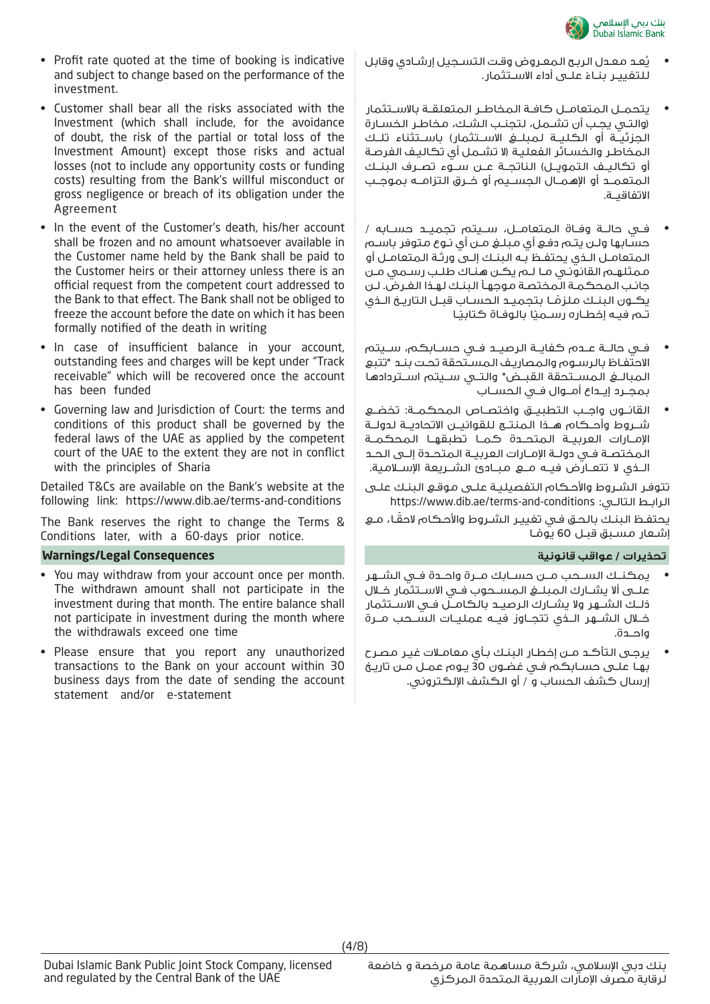

- Profit rate quoted at the time of booking is indicative and subject to change based on the performance of the investment.
- Customer shall bear all the risks associated with the Investment (which shall include, for the avoidance of doubt, the risk of the partial or total loss of the Investment Amount) except those risks and actual losses (not to include any opportunity costs or funding costs) resulting from the Bank's willful misconduct or gross negligence or breach of its obligation under the Agreement
- In the event of the Customer's death, his/her account shall be frozen and no amount whatsoever available in the Customer name held by the Bank shall be paid to the Customer heirs or their attorney unless there is an official request from the competent court addressed to the Bank to that effect. The Bank shall not be obliged to freeze the account before the date on which it has been formally notified of the death in writing
- In case of insufficient balance in your account, outstanding fees and charges will be kept under "Track receivable" which will be recovered once the account has been funded
- Governing law and Jurisdiction of Court: the terms and conditions of this product shall be governed by the federal laws of the UAE as applied by the competent court of the UAE to the extent they are not in conflict with the principles of Sharia

Detailed T&Cs are available on the Bank's website at the following link: https://www.dib.ae/terms-and-conditions

The Bank reserves the right to change the Terms & Conditions later, with a 60-days prior notice.

### **تحذيرات / عواقب قانونية Consequences Legal/Warnings**

- You may withdraw from your account once per month. The withdrawn amount shall not participate in the investment during that month. The entire balance shall not participate in investment during the month where the withdrawals exceed one time
- Please ensure that you report any unauthorized transactions to the Bank on your account within 30 business days from the date of sending the account statement and/or e-statement
- ُعـد معـدل الربـح المعـروض وقـت التسـجيل إرشـادي وقابل ي للتغييـر بنــاءُ علـــى أداء الاســتثمار.<br>.
- يتحمــل المتعامــل كافــة المخاطــر المتعلقــة بالاســتثمار (والتـي يجـب أن تشـمل، لتجنـب الشـك، مخاطـر الخسـارة الجزئيــة أو الكليــة لمبلــغ الاســتثمار) باســتثناء تلــك المخاطـر والخسـائر الفعليـة (لا تشـمل أي تكاليـف الفرصـة أو تكاليــف التمويــل) الناتجــة عــن ســوء تصــرف البنــك المتعمــد أو الإهمــال الجســيم أو خــرق التزامــه بموجــب الاتفاقيــة.
- فــي حالــة وفــاة المتعامــل، ســيتم تجميــد حســابه / حسـابها ولـن يتـم دفـع أي مبلـغ مـن أي نـوع متوفر باسـم المتعامـل الـذي يحتفـظ بـه البنـك إلـى ورثـة المتعامـل أو ممثلهـم القانونـي مـا لـم يكـن هنـاك طلـب رسـمي مـن جانـب المحكمـة المختصـة موجهـاً البنـك لهـذا الغـرض. لـن يكــون البنــك ملزمــا بتجميــد الحســاب قبــل التاريــخ الــذي يكــون البنــك مـلزمــا بتجميــد الحســاب ا<br>تــم فيـه إخطــاره رســميًا بـالوفـاة كـتابيـًـا
- فــي حالــة عــدم كفايــة الرصيــد فــي حســابكم، ســيتم الاحتفـاظ بالرسـوم والمصاريـف المسـتحقة تحـت بنـد "تتبع المبالــغ المســتحقة القبــض" والتــي ســيتم اســتردادها بمجــرد إيــداع أمــوال فــي الحســاب
- القانــون واجــب التطبيــق واختصــاص المحكمــة: تخضــع شــروط وأحــكام هــذا المنتــج للقوانيــن الاتحاديــة لدولــة الإمــارات العربيــة المتحــدة كمــا تطبقهــا المحكمــة المختصــة فــي دولــة الإمــارات العربيــة المتحــدة إلــى الحــد الــذي لا تتعــارض فيــه مــع مبــادئ الشــريعة الإســلامية.

تتوفـر الشـروط والأحـكام التفصيليـة علـى موقـع البنـك علـى https://www.dib.ae/terms-and-conditions :التالـي الرابـط

ً يحتفـظ البنـك بالحـق فـي تغييـر الشـروط والأحـكام لاحقـا، مـع إشـعار مسـبق قبـل 60 يومـا **ا** 

- يمكنــك الســحب مــن حســابك مــرة واحــدة فــي الشــهر علــى ألا يشــارك المبلــغ المســحوب فــي الاســتثمار خــلال ذلــك الشــهر ولا يشــارك الرصيــد بالكامــل فــي الاســتثمار خــلال الشــهر الــذي تتجــاوز فيــه عمليــات الســحب مــرة واحــدة.
- يرجـى التأكـد مـن إخطـار البنـك بـأي معامـلات غيـر مصـرح بهـا علـى حسـابكم فـي غضـون 30 يـوم عمـل مـن تاريـخ إرسال كشف الحساب و / أو الكشف الإلكتروني.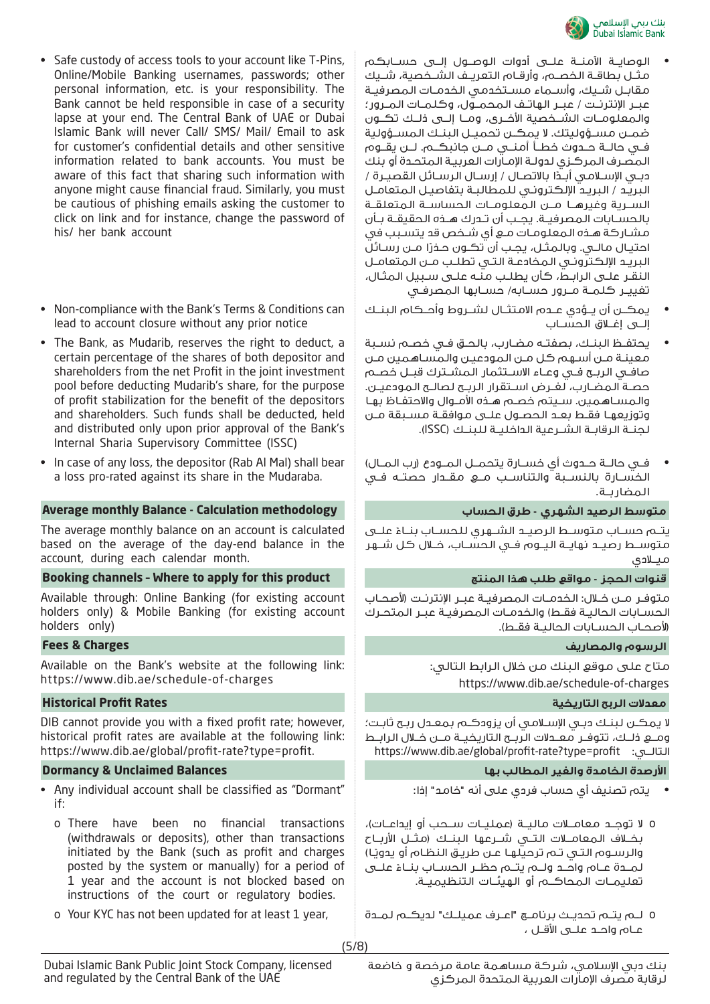

- الوصايــة الآمنــة علــى أدوات الوصــول إلــى حســابكم مثــل بطاقــة الخصــم، وأرقــام التعريــف الشــخصية، شــيك مقابــل شــيك، وأســماء مســتخدمي الخدمــات المصرفيــة عبــر الإنترنــت / عبــر الهاتــف المحمــول، وكلمــات المــرور؛ والمعلومــات الشــخصية الأخــرى، ومــا إلــى ذلــك تكــون ضمــن مســؤوليتك. لا يمكــن تحميــل البنــك المســؤولية فــي حالــة حــدوث خطــأ أمنــي مــن جانبكــم. لــن يقــوم المصـرف المركـزي لدولـة الإمـارات العربيـة المتحـدة أو بنك دبــي الإســلامـي أبــدًا بالاتصــال / إرســال الـرســائل القصيــرة / البريـد / البريـد الإلكترونـي للمطالبـة بتفاصيـل المتعامـل الســرية وغيرهــا مــن المعلومــات الحساســة المتعلقــة بالحســابات المصرفيــة. يجــب أن تــدرك هــذه الحقيقــة بــأن مشـاركة هـذه المعلومـات مـع أي شـخص قد يتسـبب في احتيـال مـالـي. وبالـمثـل، يجـب أن تكـون حـذرًا مـن رسـائل البريـد الإلكترونـي المخادعـة التـي تطلـب مـن المتعامـل النقـر علـى الرابـط، كأن يطلـب منـه علـى سـبيل المثـال، تغييــر كلمــة مــرور حســابه/ حســابها المصرفــي
	- يمكــن أن يــؤدي عــدم الامتثــال لشــروط وأحــكام البنــك إلــى إغــلاق الحســاب
- يحتفــظ البنــك، بصفتــه مضــارب، بالحــق فــي خصــم نســبة معينـة مـن أسـهم كل مـن المودعيـن والمسـاهمين مـن صافــي الربــح فــي وعــاء الاســتثمار المشــترك قبــل خصــم حصــة المضــارب، لغــرض اســتقرار الربــح لصالــح المودعيــن. والمسـاهمين. سـيتم خصـم هـذه الأمـوال والاحتفـاظ بهـا وتوزيعهـا فقـط بعـد الحصـول علـى موافقـة مسـبقة مـن لجنــة الرقابــة الشــرعية الداخليــة للبنــك (ISSC(.
- فــي حالــة حــدوث أي خســارة يتحمــل المــودع (رب المــال) الخســارة بالنســبة والتناســب مــع مقــدار حصتــه فــي المضاربــة.

يتــم حســاب متوســط الرصيــد الشــهري للحســاب بنــاءً علـــى متوســط رصيــد نهايــة اليــوم فــي الحســاب، خــلال كل شــهر ميــلادي

متوفــر مــن خــلال: الخدمــات المصرفيــة عبــر الإنترنــت (لأصحــاب الحســابات الـحاليــة فقــط) والخدمــات المصرفيــة عبــر المتحـرك (لأصحــاب الحســابات الحاليــة فقــط).

### **الرسوم والمصاريف Charges & Fees**

متاح على موقع البنك من خلال الرابط التالي: https://www.dib.ae/schedule-of-charges

لا يمكـن لبنـك دبـي الإسـلامي أن يزودكـم بمعـدل ربـح ثابـت؛ ومــع ذلــك، تتوفــر معــدلات الربــح التاريخيــة مــن خــلال الرابــط https://www.dib.ae/global/profit-rate?type=profit :التالــي

- يتم تصنيف أي حساب فردي على أنه "خامد" إذا:
- o لا توجــد معامــلات ماليــة (عمليــات ســحب أو إيداعــات)، بخــلاف المعامــلات التــي شــرعها البنــك (مثــل الأربــاح والرسـوم التـي تـم ترحيلهـا عـن طريـق النظـام أو يدويًـا) لمــدة عــام واحــد ولــمٍ يتــم حظــر الحســاب بنــاءً علــى تعليمــات المحاكــم أو الهيئــات التنظيميــة.
- o Your KYC has not been updated for at least 1 year, لمــدة لديكــم" عميلــك اعــرف "برنامــج تحديــث يتــم لــم o عــام واحــد علــى الأقــل ،

• Safe custody of access tools to your account like T-Pins, Online/Mobile Banking usernames, passwords; other personal information, etc. is your responsibility. The Bank cannot be held responsible in case of a security lapse at your end. The Central Bank of UAE or Dubai Islamic Bank will never Call/ SMS/ Mail/ Email to ask for customer's confidential details and other sensitive information related to bank accounts. You must be aware of this fact that sharing such information with anyone might cause financial fraud. Similarly, you must be cautious of phishing emails asking the customer to click on link and for instance, change the password of his/ her bank account

- Non-compliance with the Bank's Terms & Conditions can lead to account closure without any prior notice
- The Bank, as Mudarib, reserves the right to deduct, a certain percentage of the shares of both depositor and shareholders from the net Profit in the joint investment pool before deducting Mudarib's share, for the purpose of profit stabilization for the benefit of the depositors and shareholders. Such funds shall be deducted, held and distributed only upon prior approval of the Bank's Internal Sharia Supervisory Committee (ISSC)
- In case of any loss, the depositor (Rab Al Mal) shall bear a loss pro-rated against its share in the Mudaraba.

### **متوسط الرصيد الشهري - طرق الحساب methodology Calculation - Balance monthly Average**

The average monthly balance on an account is calculated based on the average of the day-end balance in the account, during each calendar month.

### **Booking channels – Where to apply for this product المنتج هذا طلب مواقع - الحجز قنوات**

Available through: Online Banking (for existing account holders only) & Mobile Banking (for existing account holders only)

Available on the Bank's website at the following link: https://www.dib.ae/schedule-of-charges

# **معدلات الربح التاريخية Rates Profit Historical**

DIB cannot provide you with a fixed profit rate; however, historical profit rates are available at the following link: https://www.dib.ae/global/profit-rate?type=profit.

# **ارصدة الخامدة والغير المطالب بها Balances Unclaimed & Dormancy**

- Any individual account shall be classified as "Dormant" if:
	- o There have been no financial transactions (withdrawals or deposits), other than transactions initiated by the Bank (such as profit and charges posted by the system or manually) for a period of 1 year and the account is not blocked based on instructions of the court or regulatory bodies.
	-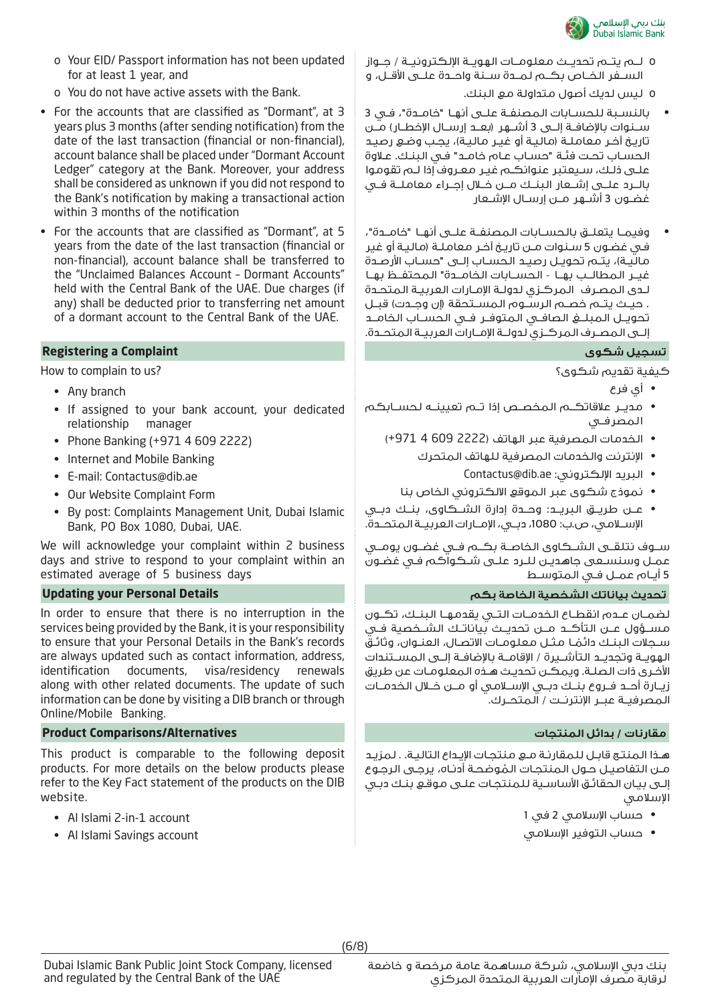

- o Your EID/ Passport information has not been updated for at least 1 year, and
- o You do not have active assets with the Bank.
- For the accounts that are classified as "Dormant", at 3 years plus 3 months (after sending notification) from the date of the last transaction (financial or non-financial), account balance shall be placed under "Dormant Account Ledger" category at the Bank. Moreover, your address shall be considered as unknown if you did not respond to the Bank's notification by making a transactional action within 3 months of the notification
- For the accounts that are classified as "Dormant", at 5 years from the date of the last transaction (financial or non-financial), account balance shall be transferred to the "Unclaimed Balances Account – Dormant Accounts" held with the Central Bank of the UAE. Due charges (if any) shall be deducted prior to transferring net amount of a dormant account to the Central Bank of the UAE.

### **Registering a Complaint شكوى تسجيل**

How to complain to us?

- Any branch
- If assigned to your bank account, your dedicated relationship manager
- Phone Banking (+971 4 609 2222)
- Internet and Mobile Banking
- E-mail: Contactus@dib.ae
- Our Website Complaint Form
- By post: Complaints Management Unit, Dubai Islamic Bank, PO Box 1080, Dubai, UAE.

We will acknowledge your complaint within 2 business days and strive to respond to your complaint within an estimated average of 5 business days

In order to ensure that there is no interruption in the services being provided by the Bank, it is your responsibility to ensure that your Personal Details in the Bank's records are always updated such as contact information, address,<br>identification documents, visa/residency renewals visa/residency renewals along with other related documents. The update of such information can be done by visiting a DIB branch or through Online/Mobile Banking.

# **مقارنات / بدائل المنتجات Alternatives/Comparisons Product**

This product is comparable to the following deposit products. For more details on the below products please refer to the Key Fact statement of the products on the DIB website.

- Al Islami 2-in-1 account
- Al Islami Savings account
- o لــم يتــم تحديــث معلومــات الهويــة الإلكترونيــة / جــواز الســفر الخــاص بكــم لمــدة ســنة واحــدة علــى الأقــل، و o ليس لديك أصول متداولة مع البنك.
- بالنســبة للحســابات المصنفــة علــى أنهــا "خامــدة"، فــي 3 ســنوات بالإضافــة إلــى 3 أشــهر (بعــد إرســال الإخطــار) مــن تاريـخ آخـر معاملـة (ماليـة أو غيـر ماليـة)، يجـب وضـع رصيـد الحسـاب تحـت فئـة "حسـاب عـام خامـد" فـي البنـك. عـلاوة علـى ذلـك، سـيعتبر عنوانكـم غيـر معـروف إذا لـم تقوموا بالــرد علــى إشــعار البنــك مــن خــلال إجــراء معاملــة فــي غضــون 3 أشــهر مــن إرســال الإشــعار
- وفيمــا يتعلــق بالحســابات المصنفــة علــى أنهــا "خامــدة"، فـي غضـون 5 سـنوات مـن تاريـخ آخـر معاملـة (ماليـة أو غير ماليـة)، يتـم تحويـل رصيـد الحسـاب إلـى "حسـاب الأرصـدة غيــر المطالــب بهــا - الحســابات الخامــدة" المحتفــظ بهــا لـدى المصـرف المركـزي لدولـة الإمـارات العربيـة المتحـدة . حيــث يتــم خصــم الرســوم المســتحقة (إن وجــدت) قبــل تحويــل المبلــغ الصافــي المتوفــر فــي الحســاب الخامــد إلــى المصــرف المركــزي لدولــة الإمــارات العربيــة المتحــدة.

كيفية تقديم شكوى؟

- أي فرع
- مديــر علاقاتكــم المخصــص إذا تــم تعيينــه لحســابكم المصرفــي
	- الخدمات المصرفية عبر الهاتف (2222 609 4 +971)
		- الإنترنت والخدمات المصرفية للهاتف المتحرك
			- Contactus@dib.ae :الإلكتروني البريد•
		- نموذج شكوى عبر الموقع الالكتروني الخاص بنا
- عــن طريــق البريــد: وحــدة إدارة الشــكاوى، بنــك دبــي الإســلامي، ص.ب: ،1080 دبــي، الإمــارات العربيــة المتحــدة.

ســوف نتلقــى الشــكاوى الخاصــة بكــم فــي غضــون يومــي عمـل وسنسـعى جاهديـن للـرد علـى شـكواكم فـي غضـون 5 أيــام عمــل فــي المتوســط

# **تحديث بياناتك الشخصية الخاصة بكم Details Personal your Updating**

لضمــان عــدم انقطــاع الخدمــات التــي يقدمهــا البنــك، تكــون مســؤول عــن التأكــد مــن تحديــث بياناتــك الشــخصية فــي ســجلات الـبـنـك دائمـا مـثــل مـعلـومــات الاتصــال، الـعـنــوان، وثائــقُ<br>الـهويــة وتجديــد الـتأشــيرة / الإقامــة بـالإضافــة إلـــى المســـتندات الأخـرى ذات الصلـة. ويمكـن تحديـث هـذه المعلومـات عن طريق زيــارة أحــد فــروع بنــك دبــي الإســلامي أو مــن خــلال الخدمــات المصرفيــة عبــر الإنترنــت / المتحــرك.

هـذا المنتـج قابـل للمقارنـة مـع منتجـات الإيـداع التاليـة. . لمزيـد مــن الـتفاصيـل حـول الـمـنـتجـات الـمُوضحـة أدنــاه، يرجــى الـرجـوع<br>الــي بـــان الحقائـق الأساســـة لـلـمـنتحـات علـــى مـوقـع بـنـك دبــى الإسلامي

- حساب الإسلامي 2 في 1
- حساب التوفير الإسلامي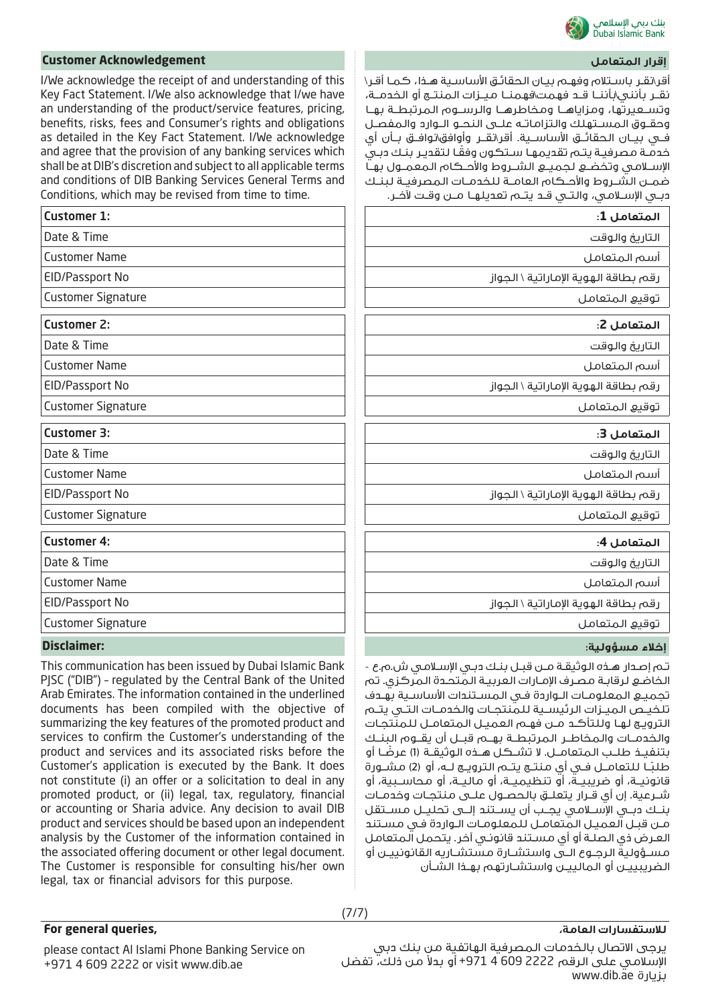

أقر\نقـر باسـتلام وفهـم بيـان الحقائـق الأساسـية هـذا، كمـا أقـر\ نقــر بأنني\بأننــا قــد فهمت\فهمنــا ميــزات المنتــج أو الخدمــة، وتســعيرتها، ومزاياهــا ومخاطرهــا والرســوم المرتبطــة بهــا وحقــوق المســتهلك والتزاماتــه علــى النحــو الــوارد والمفصــل فــي بيــان الحقائــق الأساســية. أقر\نقــر وأوافق\نوافــق بــأن أي ً خدمـة مصرفيـة يتـم تقديمهـا سـتكون وفقـا لتقديـر بنـك دبـي الإســلامي وتخضــع لجميــع الشــروط والأحــكام المعمــول بهــا ضمــن الشــروط والأحــكام العامــة للخدمــات المصرفيــة لبنــك دبــي الإســلامي، والتــي قــد يتــم تعديلهــا مــن وقــت لآخــر.

| <b>Customer 1:</b>                                       | المتعامل 1:                                                    |
|----------------------------------------------------------|----------------------------------------------------------------|
| Date & Time                                              | التاريخ والوقت                                                 |
| <b>Customer Name</b>                                     | أسم المتعامل                                                   |
| EID/Passport No                                          | رقم بطاقة الهوية الإماراتية \ الجواز                           |
| <b>Customer Signature</b>                                | توقيع المتعامل                                                 |
| <b>Customer 2:</b>                                       | المتعامل 2:                                                    |
| Date & Time                                              | التاريخ والوقت                                                 |
| <b>Customer Name</b>                                     | أسم المتعامل                                                   |
| EID/Passport No                                          | رقم بطاقة الهوية الإماراتية \ الجواز                           |
| <b>Customer Signature</b>                                | توقيع المتعامل                                                 |
| <b>Customer 3:</b>                                       | المتعامل 3:                                                    |
| Date & Time                                              | التاريخ والوقت                                                 |
| <b>Customer Name</b>                                     | أسم المتعامل                                                   |
| EID/Passport No                                          | رقم بطاقة الهوية الإماراتية \ الجواز                           |
| <b>Customer Signature</b>                                | توقيع المتعامل                                                 |
| <b>Customer 4:</b>                                       | المتعامل 4:                                                    |
| Date & Time                                              | التاريخ والوقت                                                 |
| <b>Customer Name</b>                                     | أسم المتعامل                                                   |
| EID/Passport No                                          | رقم بطاقة الهوية الإماراتية \ الحواز                           |
| <b>Customer Signature</b>                                | توقيع المتعامل                                                 |
| <b>Disclaimer:</b>                                       | إخلاء مسؤولية:                                                 |
| This communication has been issued by Dubai Islamic Bank | ـْـم إصدار هـذه الوثيقـة مـن قبـل بنـك دبـى الإسـلامـى ش.م.ع - |

الخاضـع لرقابـة مصـرف الإمـارات العربيـة المتحـدة المركزي. تم تجميـع المعلومـات الـواردة فـي المسـتندات الأساسـية بهـدف تلخيــص الميــزات الرئيســية للمنتجــات والخدمــات التــي يتــم الترويـج لهـا وللتأكـد مـن فهـم العميـل المتعامـل للمنتجـات والخدمــات والمخاطــر المرتبطــة بهــم قبــل أن يقــوم البنــك ً بتنفيــذ طلــب المتعامــل. لا تشــكل هــذه الوثيقــة (1) عرضــا أو طلبــا لـلتعامــل فــي أي منتــج يتــم الترويــج لــه، أو (2) مشــورة قانونيــة، أو ضريبيــة، أو تنظيميــة، أو ماليــة، أو محاســبية، أو شــرعية. إن أي قــرار يتعلــق بالحصــول علــى منتجــات وخدمــات بنــك دبــي الإســلامي يجــب أن يســتند إلــى تحليــل مســتقل مـن قبـل العميـل المتعامـل للمعلومـات الـواردة فـي مسـتند العـرض ذي الصلـة أو أي مسـتند قانونـي آخر. يتحمل المتعامل مســؤولية الرجــوع الــى واستشــارة مستشــاريه القانونييــن أو الضريبييــن أو المالييــن واستشــارتهم بهــذا الشــأن

### **إقرار المتعامل Acknowledgement Customer**

I/We acknowledge the receipt of and understanding of this Key Fact Statement. I/We also acknowledge that I/we have an understanding of the product/service features, pricing, benefits, risks, fees and Consumer's rights and obligations as detailed in the Key Fact Statement. I/We acknowledge and agree that the provision of any banking services which shall be at DIB's discretion and subject to all applicable terms and conditions of DIB Banking Services General Terms and Conditions, which may be revised from time to time.

| <b>Customer 1:</b>        |
|---------------------------|
| Date & Time               |
| <b>Customer Name</b>      |
| <b>EID/Passport No</b>    |
| <b>Customer Signature</b> |
| <b>Customer 2:</b>        |
| Date & Time               |
| <b>Customer Name</b>      |
| <b>EID/Passport No</b>    |
| <b>Customer Signature</b> |
| <b>Customer 3:</b>        |
| Date & Time               |
| <b>Customer Name</b>      |
| <b>EID/Passport No</b>    |
| <b>Customer Signature</b> |
| <b>Customer 4:</b>        |
| Date & Time               |
| <b>Customer Name</b>      |
| <b>EID/Passport No</b>    |
| <b>Customer Signature</b> |
| Dicelaimarı               |

This communication has been issued by Dubai Islamic Bank PJSC ("DIB") – regulated by the Central Bank of the United Arab Emirates. The information contained in the underlined documents has been compiled with the objective of summarizing the key features of the promoted product and services to confirm the Customer's understanding of the product and services and its associated risks before the Customer's application is executed by the Bank. It does not constitute (i) an offer or a solicitation to deal in any promoted product, or (ii) legal, tax, regulatory, financial or accounting or Sharia advice. Any decision to avail DIB product and services should be based upon an independent analysis by the Customer of the information contained in the associated offering document or other legal document. The Customer is responsible for consulting his/her own legal, tax or financial advisors for this purpose.

# **للاستفسارات العامة،**